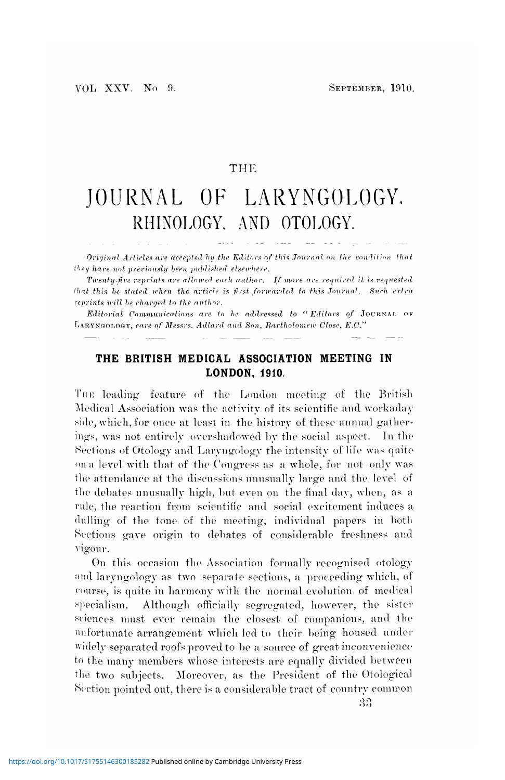## THE

## JOURNAL OF LARYNGOLOGY. RHINOLOGY. AND OTOLOGY.

*Original Articles are accepted by the Editors of this Jovrnal on the condition that*  $'$ *they hare not previously been published elsewhere.* 

*Twenty-five reprints are allowed each author. If more are required it is requested that this be stated when the article is first forwarded to this Journal. Such ertra reprints trill he charged to the author.*

*Editorial Communications are to he addressed to "Editors of* JOURNAL OF LARYNGOLOGY, *care of Messrs. Adlard and Son, Bartholomew Close, E.G."*

## **THE BRITISH MEDICAL ASSOCIATION MEETING IN LONDON, 1910.**

THE leading feature of the London meeting of the British Medical Association was the activity of its scientific and workaday side, which, for once at least in the history of these annual gatherings, was not entirely overshadowed by the social aspect. In the Sections of Otology and Laryngology the intensity of life was quite <>n a level with that of the Congress as a whole, for not only was 1he attendance at the discussions unusually large and the level of the debates unusually high, but even on the final day, when, as a rule, the reaction from scientific and social excitement induces a dulling of the tone of the meeting, individual papers in both Sections gave origin to debates of considerable freshness and vigour.

On this occasion the Association formally recognised otology and laryngology as two separate sections, a proceeding which, of course, is quite in harmony with the normal evolution of medical specialism. Although officially segregated, however, the sister sciences must ever remain the closest of companions, and the unfortunate arrangement which led to their being housed under widely separated roofs proved to be a source of great inconvenience to the many members whose interests are equally divided between the two subjects. Moreover, as the President of the Otological Section pointed out, there is a considerable tract of country common

33